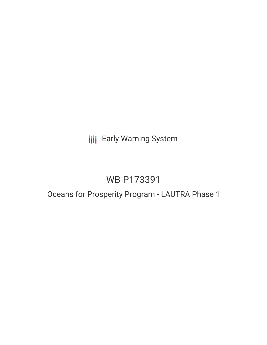# **III** Early Warning System

# WB-P173391

# Oceans for Prosperity Program - LAUTRA Phase 1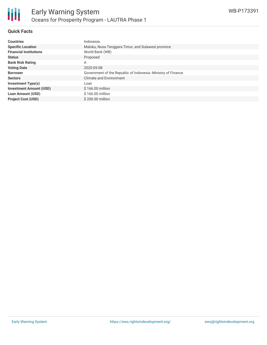

# **Quick Facts**

| <b>Countries</b>               | Indonesia                                                    |
|--------------------------------|--------------------------------------------------------------|
| <b>Specific Location</b>       | Maluku, Nusa Tenggara Timur, and Sulawesi province           |
| <b>Financial Institutions</b>  | World Bank (WB)                                              |
| <b>Status</b>                  | Proposed                                                     |
| <b>Bank Risk Rating</b>        | A                                                            |
| <b>Voting Date</b>             | 2020-05-08                                                   |
| <b>Borrower</b>                | Government of the Republic of Indonesia -Ministry of Finance |
| <b>Sectors</b>                 | <b>Climate and Environment</b>                               |
| <b>Investment Type(s)</b>      | Loan                                                         |
| <b>Investment Amount (USD)</b> | \$166.00 million                                             |
| <b>Loan Amount (USD)</b>       | \$166.00 million                                             |
| <b>Project Cost (USD)</b>      | \$200.00 million                                             |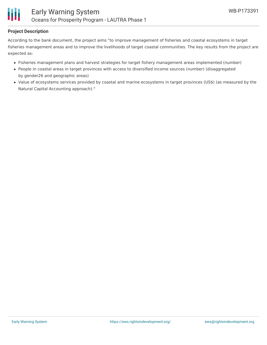

# **Project Description**

According to the bank document, the project aims "to improve management of fisheries and coastal ecosystems in target fisheries management areas and to improve the livelihoods of target coastal communities. The key results from the project are expected as:

- Fisheries management plans and harvest strategies for target fishery management areas implemented (number)
- People in coastal areas in target provinces with access to diversified income sources (number) (disaggregated by gender26 and geographic areas)
- Value of ecosystems services provided by coastal and marine ecosystems in target provinces (US\$) (as measured by the Natural Capital Accounting approach)."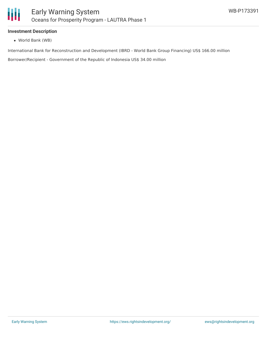

### **Investment Description**

World Bank (WB)

International Bank for Reconstruction and Development (IBRD - World Bank Group Financing) US\$ 166.00 million

Borrower/Recipient - Government of the Republic of Indonesia US\$ 34.00 million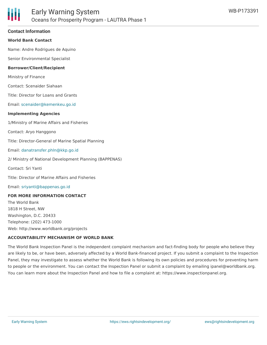### **Contact Information**

### **World Bank Contact**

Name: Andre Rodrigues de Aquino

Senior Environmental Specialist

#### **Borrower/Client/Recipient**

Ministry of Finance

Contact: Scenaider Siahaan

Title: Director for Loans and Grants

Email: [scenaider@kemenkeu.go.id](mailto:scenaider@kemenkeu.go.id)

#### **Implementing Agencies**

1/Ministry of Marine Affairs and Fisheries

Contact: Aryo Hanggono

Title: Director-General of Marine Spatial Planning

#### Email: [danatransfer.phln@kkp.go.id](mailto:danatransfer.phln@kkp.go.id)

2/ Ministry of National Development Planning (BAPPENAS)

Contact: Sri Yanti

Title: Director of Marine Affairs and Fisheries

Email: [sriyanti@bappenas.go.id](mailto:sriyanti@bappenas.go.id)

#### **FOR MORE INFORMATION CONTACT**

The World Bank 1818 H Street, NW Washington, D.C. 20433 Telephone: (202) 473-1000 Web: http://www.worldbank.org/projects

#### **ACCOUNTABILITY MECHANISM OF WORLD BANK**

The World Bank Inspection Panel is the independent complaint mechanism and fact-finding body for people who believe they are likely to be, or have been, adversely affected by a World Bank-financed project. If you submit a complaint to the Inspection Panel, they may investigate to assess whether the World Bank is following its own policies and procedures for preventing harm to people or the environment. You can contact the Inspection Panel or submit a complaint by emailing ipanel@worldbank.org. You can learn more about the Inspection Panel and how to file a complaint at: https://www.inspectionpanel.org.